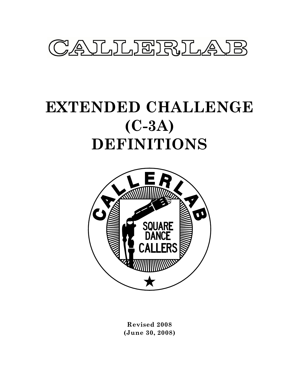

# **EXTENDED CHALLENGE (C-3A) DEFINITIONS**



**Revised 2008 (June 30, 2008)**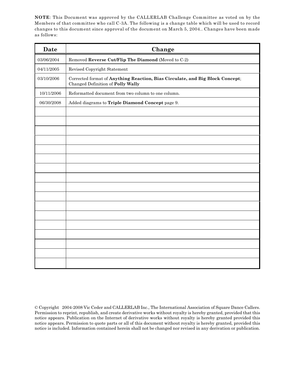**NOTE**: This Document was approved by the CALLERLAB Challenge Committee as voted on by the Members of that committee who call C-3A. The following is a change table which will be used to record changes to this document since approval of the document on March 5, 2004.. Changes have been made as follows:

| Date       | Change                                                                                                             |
|------------|--------------------------------------------------------------------------------------------------------------------|
| 03/06/2004 | Removed Reverse Cut/Flip The Diamond (Moved to C-2)                                                                |
| 04/11/2005 | Revised Copyright Statement                                                                                        |
| 03/10/2006 | Corrected format of Anything Reaction, Bias Circulate, and Big Block Concept;<br>Changed Definition of Polly Wally |
| 10/11/2006 | Reformatted document from two column to one column.                                                                |
| 06/30/2008 | Added diagrams to Triple Diamond Concept page 9.                                                                   |
|            |                                                                                                                    |
|            |                                                                                                                    |
|            |                                                                                                                    |
|            |                                                                                                                    |
|            |                                                                                                                    |
|            |                                                                                                                    |
|            |                                                                                                                    |
|            |                                                                                                                    |
|            |                                                                                                                    |
|            |                                                                                                                    |
|            |                                                                                                                    |
|            |                                                                                                                    |
|            |                                                                                                                    |
|            |                                                                                                                    |
|            |                                                                                                                    |
|            |                                                                                                                    |
|            |                                                                                                                    |

<sup>©</sup> Copyright 2004-2008 Vic Ceder and CALLERLAB Inc., The International Association of Square Dance Callers. Permission to reprint, republish, and create derivative works without royalty is hereby granted, provided that this notice appears. Publication on the Internet of derivative works without royalty is hereby granted provided this notice appears. Permission to quote parts or all of this document without royalty is hereby granted, provided this notice is included. Information contained herein shall not be changed nor revised in any derivation or publication.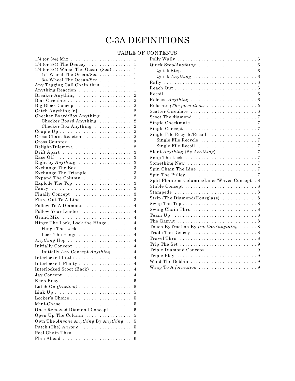# C-3A DEFINITIONS

## TABLE OF CONTENTS

| $1/4$ (or 3/4) $Mix \ldots \ldots \ldots \ldots \ldots \ldots \ldots$<br>1 |  |  |
|----------------------------------------------------------------------------|--|--|
| $1/4$ (or 3/4) The Deucey<br>1                                             |  |  |
| $1/4$ (or 3/4) Wheel The Ocean (Sea)<br>1                                  |  |  |
| 1/4 Wheel The Ocean/Sea<br>1                                               |  |  |
| 3/4 Wheel The Ocean/Sea<br>1                                               |  |  |
| Any Tagging Call Chain thru<br>$\mathbf{1}$                                |  |  |
| Anything Reaction<br>1                                                     |  |  |
| $\overline{2}$<br>Breaker Anything                                         |  |  |
| Bias Circulate<br>$\overline{2}$                                           |  |  |
| Big Block Concept<br>$\overline{2}$                                        |  |  |
| $\overline{2}$<br>Catch Anything [n]                                       |  |  |
| Checker Board/Box Anything<br>$\overline{2}$                               |  |  |
| $\overline{2}$<br>Checker Board Anything                                   |  |  |
| Checker Box Anything<br>$\overline{2}$                                     |  |  |
| $\overline{2}$                                                             |  |  |
| Cross Chain Reaction<br>$\overline{2}$                                     |  |  |
| $\overline{2}$<br>Cross Counter                                            |  |  |
| $\overline{2}$<br>Delight/Dilemma                                          |  |  |
| Drift Apart<br>3                                                           |  |  |
| 3                                                                          |  |  |
| 3<br>Eight by Anything                                                     |  |  |
| 3<br>Exchange The Box                                                      |  |  |
| 3<br>Exchange The Triangle                                                 |  |  |
| Expand The Column<br>3                                                     |  |  |
| 3<br>Explode The Top                                                       |  |  |
| 3<br>Fancy                                                                 |  |  |
| 3<br>Finally Concept                                                       |  |  |
| 3<br>Flare Out To A Line                                                   |  |  |
| Follow To A Diamond<br>$\overline{4}$                                      |  |  |
| Follow Your Leader<br>$\overline{4}$                                       |  |  |
| $\overline{4}$<br>Grand Mix                                                |  |  |
| Hinge The Lock, Lock the Hinge<br>$\overline{4}$                           |  |  |
|                                                                            |  |  |
| Hinge The Lock<br>$\overline{4}$                                           |  |  |
| Lock The Hinge<br>$\overline{4}$                                           |  |  |
| $\overline{4}$<br>Anything Hop                                             |  |  |
| $\overline{4}$<br>Initially Concept                                        |  |  |
| Initially Any Concept Anything $\ldots \ldots$<br>$\overline{4}$           |  |  |
| Interlocked Little<br>$\overline{4}$                                       |  |  |
| Interlocked Plenty<br>$\overline{4}$                                       |  |  |
| Interlocked Scoot (Back)<br>4                                              |  |  |
|                                                                            |  |  |
| $\rm{ Jay~Concept}$<br>4                                                   |  |  |
| 5                                                                          |  |  |
| 5                                                                          |  |  |
| 5                                                                          |  |  |
| 5<br>Locker's Choice                                                       |  |  |
| 5<br>Mini-Chase                                                            |  |  |
| Once Removed Diamond Concept                                               |  |  |
| 5<br>5<br>Open Up The Column                                               |  |  |
| 5<br>Own The Anyone Anything By Anything                                   |  |  |
| 5                                                                          |  |  |
| Patch (The) Anyone                                                         |  |  |
| 5                                                                          |  |  |
| 6<br>Plan Ahead                                                            |  |  |

| Quick Anything $\ldots \ldots \ldots \ldots \ldots \ldots \ldots 6$                   |
|---------------------------------------------------------------------------------------|
|                                                                                       |
|                                                                                       |
|                                                                                       |
| Release $Any thing \dots \dots \dots \dots \dots \dots \dots \dots \dots 6$           |
|                                                                                       |
|                                                                                       |
|                                                                                       |
|                                                                                       |
| Single Concept $\ldots \ldots \ldots \ldots \ldots \ldots \ldots \ldots \ldots$       |
|                                                                                       |
|                                                                                       |
|                                                                                       |
|                                                                                       |
| Snap The Lock $\ldots \ldots \ldots \ldots \ldots \ldots \ldots \ldots 7$             |
| Something New $\dots\dots\dots\dots\dots\dots\dots\dots\dots$                         |
|                                                                                       |
|                                                                                       |
| Split Phantom Columns/Lines/Waves Concept . 8                                         |
|                                                                                       |
|                                                                                       |
| Strip (The Diamond/Hourglass)  8                                                      |
|                                                                                       |
|                                                                                       |
|                                                                                       |
|                                                                                       |
| Touch By fraction By fraction/anything  8                                             |
|                                                                                       |
|                                                                                       |
|                                                                                       |
|                                                                                       |
| Triple Play $\ldots \ldots \ldots \ldots \ldots \ldots \ldots \ldots \ldots \ldots 9$ |
| Wind The Bobbin 9                                                                     |
| Wrap To A formation $\ldots \ldots \ldots \ldots \ldots \ldots \ldots 9$              |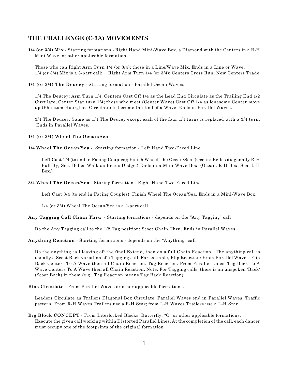### **THE CHALLENGE (C-3A) MOVEMENTS**

**1/4 (or 3/4) Mix** - Starting formations - Right Hand Mini-Wave Box, a Diamond with the Centers in a R-H Mini-Wave, or other applicable formations.

Those who can Right Arm Turn 1/4 (or 3/4); those in a Line/Wave Mix. Ends in a Line or Wave. 1/4 (or 3/4) Mix is a 3-part call: Right Arm Turn 1/4 (or 3/4); Centers Cross Run; New Centers Trade.

**1/4 (or 3/4) The Deucey** - Starting formation - Parallel Ocean Waves.

1/4 The Deucey: Arm Turn 1/4; Centers Cast Off 1/4 as the Lead End Circulate as the Trailing End 1/2 Circulate; Center Star turn 1/4; those who meet (Center Wave) Cast Off 1/4 as lonesome Center move up (Phantom Hourglass Circulate) to become the End of a Wave. Ends in Parallel Waves.

3/4 The Deucey: Same as 1/4 The Deucey except each of the four 1/4 turns is replaced with a 3/4 turn. Ends in Parallel Waves.

#### **1/4 (or 3/4) Wheel The Ocean/Sea**

**1/4 Wheel The Ocean/Sea** - Starting formation - Left Hand Two-Faced Line.

Left Cast 1/4 (to end in Facing Couples); Finish Wheel The Ocean/Sea. (Ocean: Belles diagonally R-H Pull By; Sea: Belles Walk as Beaus Dodge.) Ends in a Mini-Wave Box. (Ocean: R-H Box; Sea: L-H Box.)

**3/4 Wheel The Ocean/Sea** - Staring formation - Right Hand Two-Faced Line.

Left Cast 3/4 (to end in Facing Couples); Finish Wheel The Ocean/Sea. Ends in a Mini-Wave Box.

1/4 (or 3/4) Wheel The Ocean/Sea is a 2-part call.

**Any Tagging Call Chain Thru** - Starting formations - depends on the "Any Tagging" call

Do the Any Tagging call to the 1/2 Tag position; Scoot Chain Thru. Ends in Parallel Waves.

**Anything Reaction** - Starting formations - depends on the "Anything" call

Do the anything call leaving off the final Extend, then do a full Chain Reaction. The anything call is usually a Scoot Back variation of a Tagging call. For example, Flip Reaction: From Parallel Waves. Flip Back Centers To A Wave then all Chain Reaction. Tag Reaction: From Parallel Lines. Tag Back To A Wave Centers To A Wave then all Chain Reaction. Note: For Tagging calls, there is an unspoken 'Back' (Scoot Back) in them (e.g., Tag Reaction means Tag Back Reaction).

**Bias Circulate** - From Parallel Waves or other applicable formations.

Leaders Circulate as Trailers Diagonal Box Circulate. Parallel Waves end in Parallel Waves. Traffic pattern: From R-H Waves Trailers use a R-H Star; from L-H Waves Trailers use a L-H Star.

**Big Block CONCEPT** - From Interlocked Blocks, Butterfly, "O" or other applicable formations. Execute the given call working within Distorted Parallel Lines. At the completion of the call, each dancer must occupy one of the footprints of the original formation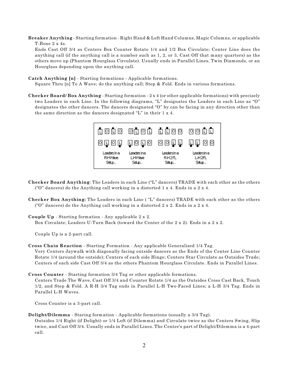**Breaker Anything** - Starting formation - Right Hand & Left Hand Columns, Magic Columns, or applicable T-Bone 2 x 4s.

Ends Cast Off 3/4 as Centers Box Counter Rotate 1/4 and 1/2 Box Circulate; Center Line does the anything call (if the anything call is a number such as 1, 2, or 3, Cast Off that many quarters) as the others move up (Phantom Hourglass Circulate). Usually ends in Parallel Lines, Twin Diamonds, or an Hourglass depending upon the anything call.

**Catch Anything [n]** - Starting formations - Applicable formations.

Square Thru [n] To A Wave; do the anything call; Step & Fold. Ends in various formations.

**Checker Board/ Box Anything** - Starting formation - 2 x 4 (or other applicable formations) with precisely two Leaders in each Line. In the following diagrams, "L" designates the Leaders in each Line as "O" designates the other dancers. The dancers designated "O" by can be facing in any direction other than the same direction as the dancers designated "L" in their 1 x 4.



- **Checker Board Anything**: The Leaders in each Line ("L" dancers) TRADE with each other as the others ("O" dancers) do the Anything call working in a distorted  $1 \times 4$ . Ends in a  $2 \times 4$ .
- **Checker Box Anything:** The Leaders in each Line ( "L" dancers) TRADE with each other as the others ("O" dancers) do the Anything call working in a distorted  $2 \times 2$ . Ends in a  $2 \times 4$ .
- **Couple Up**  Starting formation Any applicable 2 x 2.

Box Circulate; Leaders U-Turn Back (toward the Center of the 2 x 2). Ends in a 2 x 2.

Couple Up is a 2-part call.

**Cross Chain Reaction** - Starting Formation - Any applicable Generalized 1/4 Tag.

Very Centers Jaywalk with diagonally facing outside dancers as the Ends of the Center Line Counter Rotate 1/4 (around the outside); Centers of each side Hinge; Centers Star Circulate as Outsides Trade; Centers of each side Cast Off 3/4 as the others Phantom Hourglass Circulate. Ends in Parallel Lines.

**Cross Counter** - Starting formation 3/4 Tag or other applicable formations.

Centers Trade The Wave, Cast Off 3/4 and Counter Rotate 1/4 as the Outsides Cross Cast Back, Touch 1/2, and Step & Fold. A R-H 3/4 Tag ends in Parallel L-H Two-Faced Lines; a L-H 3/4 Tag. Ends in Parallel L-H Waves.

Cross Counter is a 3-part call.

**Delight/Dilemma** - Staring formation - Applicable formations (usually a 3/4 Tag).

Outsides 1/4 Right (if Delight) or 1/4 Left (if Dilemma) and Circulate twice as the Centers Swing, Slip twice, and Cast Off 3/4. Usually ends in Parallel Lines. The Center's part of Delight/Dilemma is a 4-part call.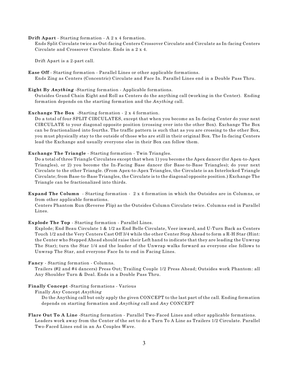#### **Drift Apart** - Starting formation - A 2 x 4 formation.

Ends Split Circulate twice as Out-facing Centers Crossover Circulate and Circulate as In-facing Centers Circulate and Crossover Circulate. Ends in a 2 x 4.

Drift Apart is a 2-part call.

**Ease Off** - Starting formation - Parallel Lines or other applicable formations. Ends Zing as Centers (Concentric) Circulate and Face In. Parallel Lines end in a Double Pass Thru.

**Eight By** *Anything* -Starting formation - Applicable formations.

Outsides Grand Chain Eight and Roll as Centers do the anything call (working in the Center). Ending formation depends on the starting formation and the *Anything* call.

**Exchange The Box** -Starting formation - 2 x 4 formation.

Do a total of four SPLIT CIRCULATES, except that when you become an In-facing Center do your next CIRCULATE to your diagonal opposite position (crossing over into the other Box). Exchange The Box can be fractionalized into fourths. The traffic pattern is such that as you are crossing to the other Box, you must physically stay to the outside of those who are still in their original Box. The In-facing Centers lead the Exchange and usually everyone else in their Box can follow them.

**Exchange The Triangle** - Starting formation - Twin Triangles.

Do a total of three Triangle Circulates except that when 1) you become the Apex dancer (for Apex-to-Apex Triangles), or 2) you become the In-Facing Base dancer (for Base-to-Base Triangles); do your next Circulate to the other Triangle. (From Apex-to-Apex Triangles, the Circulate is an Interlocked Triangle Circulate; from Base-to-Base Triangles, the Circulate is to the diagonal opposite position.) Exchange The Triangle can be fractionalized into thirds.

**Expand The Column** - Starting formation - 2 x 4 formation in which the Outsides are in Columns, or from other applicable formations.

Centers Phantom Run (Reverse Flip) as the Outsides Column Circulate twice. Columns end in Parallel Lines.

**Explode The Top** - Starting formation - Parallel Lines.

Explode; End Beau Circulate 1 & 1/2 as End Belle Circulate, Veer inward, and U-Turn Back as Centers Touch 1/2 and the Very Centers Cast Off 3/4 while the other Center Step Ahead to form a R-H Star (Hint: the Center who Stepped Ahead should raise their Left hand to indicate that they are leading the Unwrap The Star); turn the Star 1/4 and the leader of the Unwrap walks forward as everyone else follows to Unwrap The Star, and everyone Face In to end in Facing Lines.

**Fancy** - Starting formation - Columns.

Trailers (#2 and #4 dancers) Press Out; Trailing Couple 1/2 Press Ahead; Outsides work Phantom: all Any Shoulder Turn & Deal. Ends in a Double Pass Thru.

**Finally Concept** -Starting formations - Various

Finally *Any* Concept *Anything*

Do the Anything call but only apply the given CONCEPT to the last part of the call. Ending formation depends on starting formation and *Anything* call and *Any* CONCEPT

**Flare Out To A Line** -Starting formation - Parallel Two-Faced Lines and other applicable formations. Leaders work away from the Center of the set to do a Turn To A Line as Trailers 1/2 Circulate. Parallel Two-Faced Lines end in an As Couples Wave.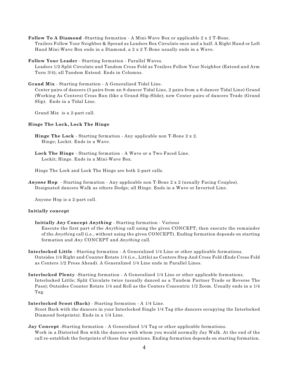**Follow To A Diamond** -Starting formation - A Mini-Wave Box or applicable 2 x 2 T-Bone. Trailers Follow Your Neighbor & Spread as Leaders Box Circulate once and a half. A Right Hand or Left Hand Mini-Wave Box ends in a Diamond, a 2 x 2 T-Bone usually ends in a Wave.

**Follow Your Leader** - Starting formation - Parallel Waves.

Leaders 1/2 Split Circulate and Tandem Cross Fold as Trailers Follow Your Neighbor (Extend and Arm Turn 3/4); all Tandem Extend. Ends in Columns.

**Grand Mix** - Starting formation - A Generalized Tidal Line.

Center pairs of dancers (3 pairs from an 8-dancer Tidal Line, 2 pairs from a 6-dancer Tidal Line) Grand (Working As Centers) Cross Run (like a Grand Slip-Slide); new Center pairs of dancers Trade (Grand Slip). Ends in a Tidal Line.

Grand Mix is a 2-part call.

#### **Hinge The Lock, Lock The Hinge**

- **Hinge The Lock** Starting formation Any applicable non T-Bone 2 x 2. Hinge; Lockit. Ends in a Wave.
- **Lock The Hinge** Starting formation A Wave or a Two-Faced Line. Lockit; Hinge. Ends in a Mini-Wave Box.

Hinge The Lock and Lock The Hinge are both 2-part calls.

*Anyone* **Hop** - Starting formation - Any applicable non T-Bone 2 x 2 (usually Facing Couples). Designated dancers Walk as others Dodge; all Hinge. Ends in a Wave or Inverted Line.

Anyone Hop is a 2-part call.

#### **Initially concept**

- **Initially** *Any* **Concept** *Anything* Starting formation Various Execute the first part of the *Anything* call using the given CONCEPT; then execute the remainder of the *Anythin*g call (i.e., without using the given CONCEPT). Ending formation depends on starting formation and *Any* CONCEPT and *Anything* call.
- **Interlocked Little** Starting formation A Generalized 1/4 Line or other applicable formations. Outsides 1/4 Right and Counter Rotate 1/4 (i.e., Little) as Centers Step And Cross Fold (Ends Cross Fold as Centers 1/2 Press Ahead). A Generalized 1/4 Line ends in Parallel Lines.
- **Interlocked Plenty** -Starting formation A Generalized 1/4 Line or other applicable formations. Interlocked Little; Split Circulate twice (usually danced as a Tandem Partner Trade or Reverse The Pass); Outsides Counter Rotate 1/4 and Roll as the Centers Concentric 1/2 Zoom. Usually ends in a 1/4 Tag.
- **Interlocked Scoot (Back)** Starting formation A 1/4 Line.

Scoot Back with the dancers in your Interlocked Single 1/4 Tag (the dancers occupying the Interlocked Diamond footprints). Ends in a 1/4 Line.

**Jay Concept** -Starting formation - A Generalized 1/4 Tag or other applicable formations. Work in a Distorted Box with the dancers with whom you would normally Jay Walk. At the end of the call re-establish the footprints of those four positions. Ending formation depends on starting formation.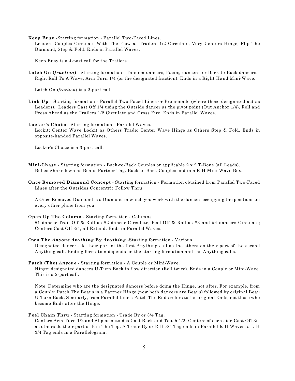**Keep Busy** -Starting formation - Parallel Two-Faced Lines.

Leaders Couples Circulate With The Flow as Trailers 1/2 Circulate, Very Centers Hinge, Flip The Diamond, Step & Fold. Ends in Parallel Waves.

Keep Busy is a 4-part call for the Trailers.

**Latch On (***fraction***)** - Starting formation - Tandem dancers, Facing dancers, or Back-to-Back dancers. Right Roll To A Wave, Arm Turn 1/4 (or the designated fraction). Ends in a Right Hand Mini-Wave.

Latch On (*fraction*) is a 2-part call.

**Link Up** - Starting formation - Parallel Two-Faced Lines or Promenade (where those designated act as Leaders). Leaders Cast Off 1/4 using the Outside dancer as the pivot point (Out Anchor 1/4), Roll and Press Ahead as the Trailers 1/2 Circulate and Cross Fire. Ends in Parallel Waves.

**Locker's Choice** -Starting formation - Parallel Waves.

Lockit; Center Wave Lockit as Others Trade; Center Wave Hinge as Others Step & Fold. Ends in opposite-handed Parallel Waves.

Locker's Choice is a 3-part call.

**Mini-Chase** - Starting formation - Back-to-Back Couples or applicable 2 x 2 T-Bone (all Leads). Belles Shakedown as Beaus Partner Tag. Back-to-Back Couples end in a R-H Mini-Wave Box.

**Once Removed Diamond Concept** - Starting formation - Formation obtained from Parallel Two-Faced Lines after the Outsides Concentric Follow Thru.

A Once Removed Diamond is a Diamond in which you work with the dancers occupying the positions on every other plane from you.

**Open Up The Column** - Starting formation - Columns.

#1 dancer Trail Off & Roll as #2 dancer Circulate, Peel Off & Roll as #3 and #4 dancers Circulate; Centers Cast Off 3/4; all Extend. Ends in Parallel Waves.

**Own The** *Anyone Anything* **By** *Anything* -Starting formation - Various

Designated dancers do their part of the first Anything call as the others do their part of the second Anything call. Ending formation depends on the starting formation and the Anything calls.

**Patch (The)** *Anyone* - Starting formation - A Couple or Mini-Wave.

Hinge; designated dancers U-Turn Back in flow direction (Roll twice). Ends in a Couple or Mini-Wave. This is a 2-part call.

Note: Determine who are the designated dancers before doing the Hinge, not after. For example, from a Couple: Patch The Beaus is a Partner Hinge (now both dancers are Beaus) followed by original Beau U-Turn Back. Similarly, from Parallel Lines: Patch The Ends refers to the original Ends, not those who become Ends after the Hinge.

#### **Peel Chain Thru** - Starting formation - Trade By or 3/4 Tag.

Centers Arm Turn 1/2 and Slip as outsides Cast Back and Touch 1/2; Centers of each side Cast Off 3/4 as others do their part of Fan The Top. A Trade By or R-H 3/4 Tag ends in Parallel R-H Waves; a L-H 3/4 Tag ends in a Parallelogram.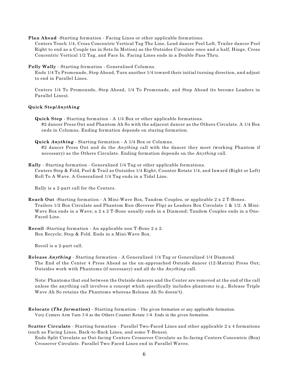**Plan Ahead** -Starting formation - Facing Lines or other applicable formations.

Centers Touch 1/4, Cross Concentric Vertical Tag The Line, Lead dancer Peel Left, Trailer dancer Peel Right to end as a Couple (as in Sets In Motion) as the Outsides Circulate once and a half, Hinge, Cross Concentric Vertical 1/2 Tag, and Face In. Facing Lines ends in a Double Pass Thru.

**Polly Wally** - Starting formation - Generalized Columns.

Ends 1/4 To Promenade, Step Ahead, Turn another 1/4 toward their initial turning direction, and adjust to end in Parallel Lines.

Centers 1/4 To Promenade, Step Ahead, 1/4 To Promenade, and Step Ahead (to become Leaders in Parallel Lines).

#### **Quick Step/***Anything*

- **Quick Step**  Starting formation A 1/4 Box or other applicable formations. #2 dancer Press Out and Phantom Ah So with the adjacent dancer as the Others Circulate. A 1/4 Box ends in Columns. Ending formation depends on staring formation.
- **Quick** *Anything* Starting formation A 1/4 Box or Columns. #2 dancer Press Out and do the *Anything* call with the dancer they meet (working Phantom if necessary) as the Others Circulate. Ending formation depends on the *Anything* call.
- **Rally**  Starting formation Generalized 1/4 Tag or other applicable formations. Centers Step & Fold, Peel & Trail as Outsides 1/4 Right, Counter Rotate 1/4, and Inward (Right or Left) Roll To A Wave. A Generalized 1/4 Tag ends in a Tidal Line.

Rally is a 2-part call for the Centers.

- **Reach Out** -Starting formation A Mini-Wave Box, Tandem Couples, or applicable 2 x 2 T-Bones. Trailers 1/2 Box Circulate and Phantom Run (Reverse Flip) as Leaders Box Circulate 1 & 1/2. A Mini-Wave Box ends in a Wave; a 2 x 2 T-Bone usually ends in a Diamond; Tandem Couples ends in a One-Faced Line.
- **Recoil** -Starting formation An applicable non T-Bone 2 x 2. Box Recycle; Step & Fold. Ends in a Mini-Wave Box.

Recoil is a 2-part call.

**Release** *Anything* - Starting formation - A Generalized 1/4 Tag or Generalized 1/4 Diamond. The End of the Center 4 Press Ahead as the un-approached Outside dancer (12-Matrix) Press Out; Outsides work with Phantoms (if necessary) and all do the *Anything* call.

Note: Phantoms that end between the Outside dancers and the Center are removed at the end of the call unless the anything call involves a concept which specifically includes phantoms (e.g., Release Triple Wave Ah So retains the Phantoms whereas Release Ah So doesn't).

- **Relocate (***The formation***)** Starting formation The given formation or any applicable formation. Very Centers Arm Turn 3/4 as the Others Counter Rotate 1/4. Ends in the given formation.
- **Scatter Circulate** Starting formation Parallel Two-Faced Lines and other applicable 2 x 4 formations (such as Facing Lines, Back-to-Back Lines, and some T-Bones).
	- Ends Split Circulate as Out-facing Centers Crossover Circulate as In-facing Centers Concentric (Box) Crossover Circulate. Parallel Two-Faced Lines end in Parallel Waves.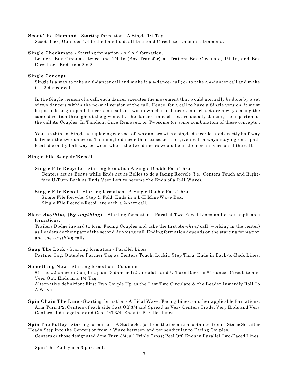#### **Scoot The Diamond** - Starting formation - A Single 1/4 Tag.

Scoot Back; Outsides 1/4 to the handhold; all Diamond Circulate. Ends in a Diamond.

#### **Single Checkmate** - Starting formation - A 2 x 2 formation.

Leaders Box Circulate twice and 1/4 In (Box Transfer) as Trailers Box Circulate, 1/4 In, and Box Circulate. Ends in a 2 x 2.

#### **Single Concept**

Single is a way to take an 8-dancer call and make it a 4-dancer call; or to take a 4-dancer call and make it a 2-dancer call.

In the Single version of a call, each dancer executes the movement that would normally be done by a set of two dancers within the normal version of the call. Hence, for a call to have a Single version, it must be possible to group all dancers into sets of two, in which the dancers in each set are always facing the same direction throughout the given call. The dancers in each set are usually dancing their portion of the call As Couples, In Tandem, Once Removed, or Twosome (or some combination of these concepts).

You can think of Single as replacing each set of two dancers with a single dancer located exactly half-way between the two dancers. This single dancer then executes the given call always staying on a path located exactly half-way between where the two dancers would be in the normal version of the call.

#### **Single File Recycle/Recoil**

**Single File Recycle** - Starting formation A Single Double Pass Thru.

Centers act as Beaus while Ends act as Belles to do a facing Recycle (i.e., Centers Touch and Rightface U-Turn Back as Ends Veer Left to become the Ends of a R-H Wave).

**Single File Recoil** - Starting formation - A Single Double Pass Thru. Single File Recycle; Step & Fold. Ends in a L-H Mini-Wave Box. Single File Recycle/Recoil are each a 2-part call.

**Slant** *Anything* **(By** *Anything***)** - Starting formation - Parallel Two-Faced Lines and other applicable formations.

Trailers Dodge inward to form Facing Couples and take the first *Anything* call (working in the center) as Leaders do their part of the second *Anything* call. Ending formation depends on the starting formation and the *Anything* calls.

#### **Snap The Lock** - Starting formation - Parallel Lines. Partner Tag; Outsides Partner Tag as Centers Touch, Lockit, Step Thru. Ends in Back-to-Back Lines.

#### **Something New** - Starting formation - Columns.

#1 and #2 dancers Couple Up as #3 dancer 1/2 Circulate and U-Turn Back as #4 dancer Circulate and Veer Out. Ends in a 1/4 Tag.

Alternative definition: First Two Couple Up as the Last Two Circulate & the Leader Inwardly Roll To A Wave.

**Spin Chain The Line** - Starting formation - A Tidal Wave, Facing Lines, or other applicable formations. Arm Turn 1/2; Centers of each side Cast Off 3/4 and Spread as Very Centers Trade; Very Ends and Very Centers slide together and Cast Off 3/4. Ends in Parallel Lines.

**Spin The Pulley** - Starting formation - A Static Set (or from the formation obtained from a Static Set after Heads Step into the Center) or from a Wave between and perpendicular to Facing Couples.

Centers or those designated Arm Turn 3/4; all Triple Cross; Peel Off. Ends in Parallel Two-Faced Lines.

Spin The Pulley is a 3-part call.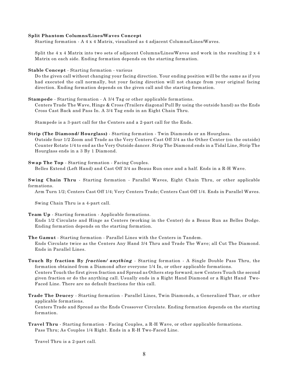#### **Split Phantom Columns/Lines/Waves Concept**

Starting formation - A 4 x 4 Matrix, visualized as 4 adjacent Columns/Lines/Waves.

Split the 4 x 4 Matrix into two sets of adjacent Columns/Lines/Waves and work in the resulting 2 x 4 Matrix on each side. Ending formation depends on the starting formation.

**Stable Concept** - Starting formation - various

Do the given call without changing your facing direction. Your ending position will be the same as if you had executed the call normally, but your facing direction will not change from your original facing direction. Ending formation depends on the given call and the starting formation.

**Stampede** - Starting formation - A 3/4 Tag or other applicable formations.

Centers Trade The Wave, Hinge & Cross (Trailers diagonal Pull By using the outside hand) as the Ends Cross Cast Back and Pass In. A 3/4 Tag ends in an Eight Chain Thru.

Stampede is a 3-part call for the Centers and a 2-part call for the Ends.

**Strip (The Diamond/ Hourglass)** - Starting formation - Twin Diamonds or an Hourglass. Outside four 1/2 Zoom and Trade as the Very Centers Cast Off 3/4 as the Other Center (on the outside) Counter Rotate 1/4 to end as the Very Outside dancer. Strip The Diamond ends in a Tidal Line, Strip The Hourglass ends in a 3 By 1 Diamond.

**Swap The Top** - Starting formation - Facing Couples.

Belles Extend (Left Hand) and Cast Off 3/4 as Beaus Run once and a half. Ends in a R-H Wave.

**Swing Chain Thru** - Starting formation - Parallel Waves, Eight Chain Thru, or other applicable formations.

Arm Turn 1/2; Centers Cast Off 1/4; Very Centers Trade; Centers Cast Off 1/4. Ends in Parallel Waves.

Swing Chain Thru is a 4-part call.

**Team Up** - Starting formation - Applicable formations.

Ends 1/2 Circulate and Hinge as Centers (working in the Center) do a Beaus Run as Belles Dodge. Ending formation depends on the starting formation.

**The Gamut** - Starting formation - Parallel Lines with the Centers in Tandem. Ends Circulate twice as the Centers Any Hand 3/4 Thru and Trade The Wave; all Cut The Diamond. Ends in Parallel Lines.

**Touch By fraction By** *fraction/ anything* - Starting formation - A Single Double Pass Thru, the formation obtained from a Diamond after everyone 1/4 In, or other applicable formations. Centers Touch the first given fraction and Spread as Others step forward; new Centers Touch the second given fraction or do the anything call. Usually ends in a Right Hand Diamond or a Right Hand Two-Faced Line. There are no default fractions for this call.

**Trade The Deucey** - Starting formation - Parallel Lines, Twin Diamonds, a Generalized Thar, or other applicable formations. Centers Trade and Spread as the Ends Crossover Circulate. Ending formation depends on the starting formation.

**Travel Thru** - Starting formation - Facing Couples, a R-H Wave, or other applicable formations. Pass Thru; As Couples 1/4 Right. Ends in a R-H Two-Faced Line.

Travel Thru is a 2-part call.